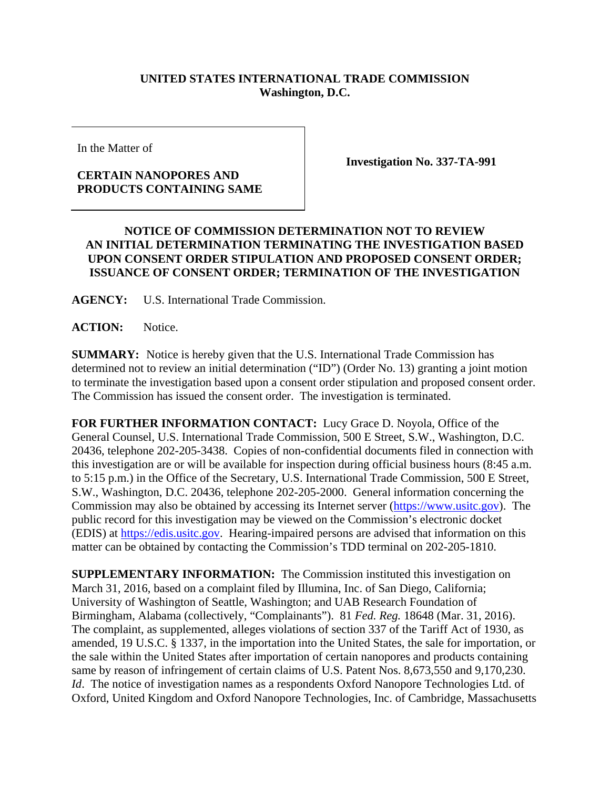## **UNITED STATES INTERNATIONAL TRADE COMMISSION Washington, D.C.**

In the Matter of

## **CERTAIN NANOPORES AND PRODUCTS CONTAINING SAME**

**Investigation No. 337-TA-991** 

## **NOTICE OF COMMISSION DETERMINATION NOT TO REVIEW AN INITIAL DETERMINATION TERMINATING THE INVESTIGATION BASED UPON CONSENT ORDER STIPULATION AND PROPOSED CONSENT ORDER; ISSUANCE OF CONSENT ORDER; TERMINATION OF THE INVESTIGATION**

**AGENCY:** U.S. International Trade Commission.

**ACTION:** Notice.

**SUMMARY:** Notice is hereby given that the U.S. International Trade Commission has determined not to review an initial determination ("ID") (Order No. 13) granting a joint motion to terminate the investigation based upon a consent order stipulation and proposed consent order. The Commission has issued the consent order. The investigation is terminated.

**FOR FURTHER INFORMATION CONTACT:** Lucy Grace D. Noyola, Office of the General Counsel, U.S. International Trade Commission, 500 E Street, S.W., Washington, D.C. 20436, telephone 202-205-3438. Copies of non-confidential documents filed in connection with this investigation are or will be available for inspection during official business hours (8:45 a.m. to 5:15 p.m.) in the Office of the Secretary, U.S. International Trade Commission, 500 E Street, S.W., Washington, D.C. 20436, telephone 202-205-2000. General information concerning the Commission may also be obtained by accessing its Internet server (https://www.usitc.gov). The public record for this investigation may be viewed on the Commission's electronic docket (EDIS) at https://edis.usitc.gov. Hearing-impaired persons are advised that information on this matter can be obtained by contacting the Commission's TDD terminal on 202-205-1810.

**SUPPLEMENTARY INFORMATION:** The Commission instituted this investigation on March 31, 2016, based on a complaint filed by Illumina, Inc. of San Diego, California; University of Washington of Seattle, Washington; and UAB Research Foundation of Birmingham, Alabama (collectively, "Complainants"). 81 *Fed. Reg.* 18648 (Mar. 31, 2016). The complaint, as supplemented, alleges violations of section 337 of the Tariff Act of 1930, as amended, 19 U.S.C. § 1337, in the importation into the United States, the sale for importation, or the sale within the United States after importation of certain nanopores and products containing same by reason of infringement of certain claims of U.S. Patent Nos. 8,673,550 and 9,170,230. *Id.* The notice of investigation names as a respondents Oxford Nanopore Technologies Ltd. of Oxford, United Kingdom and Oxford Nanopore Technologies, Inc. of Cambridge, Massachusetts